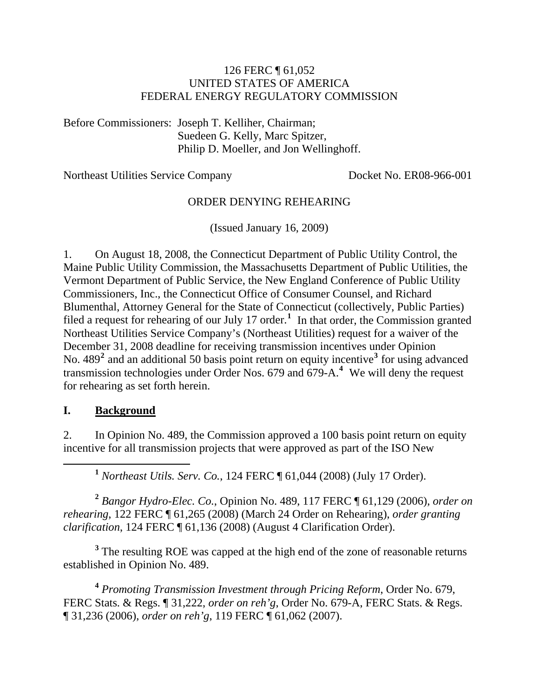#### 126 FERC ¶ 61,052 UNITED STATES OF AMERICA FEDERAL ENERGY REGULATORY COMMISSION

Before Commissioners: Joseph T. Kelliher, Chairman; Suedeen G. Kelly, Marc Spitzer, Philip D. Moeller, and Jon Wellinghoff.

Northeast Utilities Service Company Docket No. ER08-966-001

### ORDER DENYING REHEARING

(Issued January 16, 2009)

1. On August 18, 2008, the Connecticut Department of Public Utility Control, the Maine Public Utility Commission, the Massachusetts Department of Public Utilities, the Vermont Department of Public Service, the New England Conference of Public Utility Commissioners, Inc., the Connecticut Office of Consumer Counsel, and Richard Blumenthal, Attorney General for the State of Connecticut (collectively, Public Parties) filed a request for rehearing of our July [1](#page-0-0)7 order.<sup>1</sup> In that order, the Commission granted Northeast Utilities Service Company's (Northeast Utilities) request for a waiver of the December 31, 2008 deadline for receiving transmission incentives under Opinion No. 489<sup>[2](#page-0-1)</sup> and an additional 50 basis point return on equity incentive<sup>[3](#page-0-2)</sup> for using advanced transmission technologies under Order Nos. 679 and 679-A.**[4](#page-0-3)** We will deny the request for rehearing as set forth herein.

### **I. Background**

2. In Opinion No. 489, the Commission approved a 100 basis point return on equity incentive for all transmission projects that were approved as part of the ISO New

**<sup>1</sup>** *Northeast Utils. Serv. Co.*, 124 FERC ¶ 61,044 (2008) (July 17 Order).

<span id="page-0-1"></span><span id="page-0-0"></span>**<sup>2</sup>** *Bangor Hydro-Elec. Co.*, Opinion No. 489, 117 FERC ¶ 61,129 (2006), *order on rehearing*, 122 FERC ¶ 61,265 (2008) (March 24 Order on Rehearing), *order granting clarification*, 124 FERC ¶ 61,136 (2008) (August 4 Clarification Order).

<span id="page-0-2"></span><sup>3</sup> The resulting ROE was capped at the high end of the zone of reasonable returns established in Opinion No. 489.

<span id="page-0-3"></span>**<sup>4</sup>** *Promoting Transmission Investment through Pricing Reform*, Order No. 679, FERC Stats. & Regs. ¶ 31,222, *order on reh'g*, Order No. 679-A, FERC Stats. & Regs. ¶ 31,236 (2006), *order on reh'g*, 119 FERC ¶ 61,062 (2007).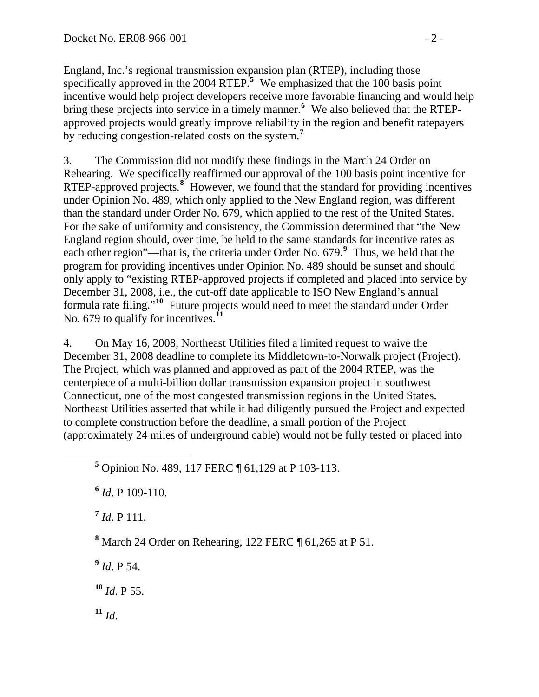England, Inc.'s regional transmission expansion plan (RTEP), including those specifically approved in the 2004 RTEP.<sup>5</sup> We emphasized that the 100 basis point incentive would help project developers receive more favorable financing and would help bring these projects into service in a timely manner.**<sup>6</sup>** We also believed that the RTEPapproved projects would greatly improve reliability in the region and benefit ratepayers by reducing congestion-related costs on the system.**<sup>7</sup>**

3. The Commission did not modify these findings in the March 24 Order on Rehearing. We specifically reaffirmed our approval of the 100 basis point incentive for RTEP-approved projects.<sup>[8](#page-1-0)</sup> However, we found that the standard for providing incentives under Opinion No. 489, which only applied to the New England region, was different than the standard under Order No. 679, which applied to the rest of the United States. For the sake of uniformity and consistency, the Commission determined that "the New England region should, over time, be held to the same standards for incentive rates as each other region"—that is, the criteria under Order No. 67[9](#page-1-1).<sup>9</sup> Thus, we held that the program for providing incentives under Opinion No. 489 should be sunset and should only apply to "existing RTEP-approved projects if completed and placed into service by December 31, 2008, i.e., the cut-off date applicable to ISO New England's annual formula rate filing."**[10](#page-1-2)** Future projects would need to meet the standard under Order No. 679 to qualify for incentives.<sup>[11](#page-1-3)</sup>

4. On May 16, 2008, Northeast Utilities filed a limited request to waive the December 31, 2008 deadline to complete its Middletown-to-Norwalk project (Project). The Project, which was planned and approved as part of the 2004 RTEP, was the centerpiece of a multi-billion dollar transmission expansion project in southwest Connecticut, one of the most congested transmission regions in the United States. Northeast Utilities asserted that while it had diligently pursued the Project and expected to complete construction before the deadline, a small portion of the Project (approximately 24 miles of underground cable) would not be fully tested or placed into

**<sup>6</sup>** *Id*. P 109-110.

**<sup>7</sup>** *Id*. P 111.

<span id="page-1-0"></span>**8** March 24 Order on Rehearing, 122 FERC ¶ 61,265 at P 51.

<span id="page-1-1"></span>**<sup>9</sup>** *Id*. P 54.

<span id="page-1-2"></span>**<sup>10</sup>** *Id*. P 55.

<span id="page-1-3"></span> $11 \, Id.$ 

**<sup>5</sup>** Opinion No. 489, 117 FERC ¶ 61,129 at P 103-113.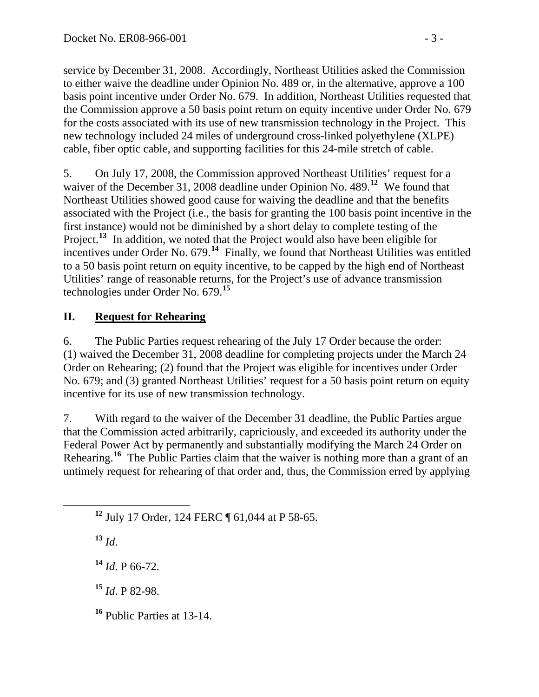service by December 31, 2008. Accordingly, Northeast Utilities asked the Commission to either waive the deadline under Opinion No. 489 or, in the alternative, approve a 100 basis point incentive under Order No. 679. In addition, Northeast Utilities requested that the Commission approve a 50 basis point return on equity incentive under Order No. 679 for the costs associated with its use of new transmission technology in the Project. This new technology included 24 miles of underground cross-linked polyethylene (XLPE) cable, fiber optic cable, and supporting facilities for this 24-mile stretch of cable.

5. On July 17, 2008, the Commission approved Northeast Utilities' request for a waiver of the December 31, 2008 deadline under Opinion No. 489.<sup>[12](#page-2-0)</sup> We found that Northeast Utilities showed good cause for waiving the deadline and that the benefits associated with the Project (i.e., the basis for granting the 100 basis point incentive in the first instance) would not be diminished by a short delay to complete testing of the Project.<sup>[13](#page-2-1)</sup> In addition, we noted that the Project would also have been eligible for incentives under Order No. 679.<sup>[14](#page-2-2)</sup> Finally, we found that Northeast Utilities was entitled to a 50 basis point return on equity incentive, to be capped by the high end of Northeast Utilities' range of reasonable returns, for the Project's use of advance transmission technologies under Order No. 679.**[15](#page-2-3)**

# **II. Request for Rehearing**

6. The Public Parties request rehearing of the July 17 Order because the order: (1) waived the December 31, 2008 deadline for completing projects under the March 24 Order on Rehearing; (2) found that the Project was eligible for incentives under Order No. 679; and (3) granted Northeast Utilities' request for a 50 basis point return on equity incentive for its use of new transmission technology.

7. With regard to the waiver of the December 31 deadline, the Public Parties argue that the Commission acted arbitrarily, capriciously, and exceeded its authority under the Federal Power Act by permanently and substantially modifying the March 24 Order on Rehearing.**[16](#page-2-4)** The Public Parties claim that the waiver is nothing more than a grant of an untimely request for rehearing of that order and, thus, the Commission erred by applying

<span id="page-2-1"></span> $13 \, Id.$ 

<span id="page-2-2"></span>**<sup>14</sup>** *Id*. P 66-72.

<span id="page-2-3"></span>**<sup>15</sup>** *Id*. P 82-98.

<span id="page-2-4"></span>**<sup>16</sup>** Public Parties at 13-14.

<span id="page-2-0"></span>**<sup>12</sup>** July 17 Order, 124 FERC ¶ 61,044 at P 58-65.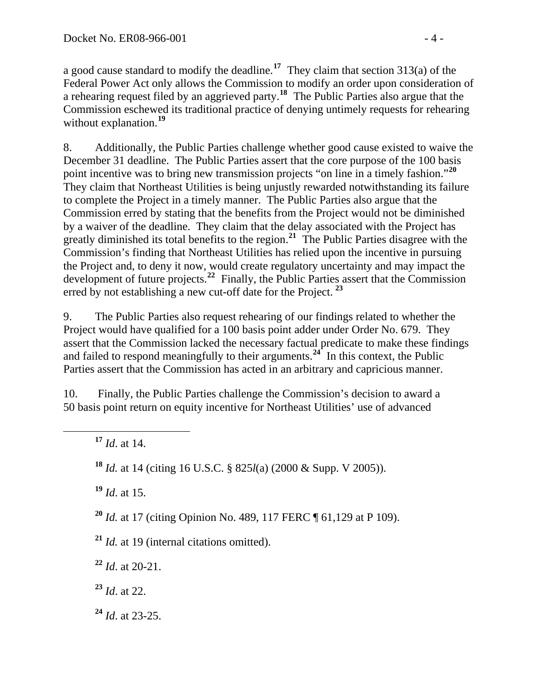a good cause standard to modify the deadline.**<sup>17</sup>** They claim that section 313(a) of the Federal Power Act only allows the Commission to modify an order upon consideration of a rehearing request filed by an aggrieved party.**<sup>18</sup>** The Public Parties also argue that the Commission eschewed its traditional practice of denying untimely requests for rehearing without explanation.**<sup>19</sup>**

8. Additionally, the Public Parties challenge whether good cause existed to waive the December 31 deadline. The Public Parties assert that the core purpose of the 100 basis point incentive was to bring new transmission projects "on line in a timely fashion."**[20](#page-3-0)** They claim that Northeast Utilities is being unjustly rewarded notwithstanding its failure to complete the Project in a timely manner. The Public Parties also argue that the Commission erred by stating that the benefits from the Project would not be diminished by a waiver of the deadline. They claim that the delay associated with the Project has greatly diminished its total benefits to the region.**[21](#page-3-1)** The Public Parties disagree with the Commission's finding that Northeast Utilities has relied upon the incentive in pursuing the Project and, to deny it now, would create regulatory uncertainty and may impact the development of future projects.**[22](#page-3-2)** Finally, the Public Parties assert that the Commission erred by not establishing a new cut-off date for the Project. **[23](#page-3-3)**

9. The Public Parties also request rehearing of our findings related to whether the Project would have qualified for a 100 basis point adder under Order No. 679. They assert that the Commission lacked the necessary factual predicate to make these findings and failed to respond meaningfully to their arguments.<sup>[24](#page-3-4)</sup> In this context, the Public Parties assert that the Commission has acted in an arbitrary and capricious manner.

10. Finally, the Public Parties challenge the Commission's decision to award a 50 basis point return on equity incentive for Northeast Utilities' use of advanced

**<sup>17</sup>** *Id*. at 14.

**<sup>18</sup>** *Id.* at 14 (citing 16 U.S.C. § 825*l*(a) (2000 & Supp. V 2005)).

**<sup>19</sup>** *Id*. at 15.

<span id="page-3-0"></span>**<sup>20</sup>** *Id.* at 17 (citing Opinion No. 489, 117 FERC ¶ 61,129 at P 109).

<span id="page-3-1"></span>**<sup>21</sup>** *Id.* at 19 (internal citations omitted).

<span id="page-3-2"></span>**<sup>22</sup>** *Id*. at 20-21.

<span id="page-3-3"></span>**<sup>23</sup>** *Id*. at 22.

<span id="page-3-4"></span>**<sup>24</sup>** *Id*. at 23-25.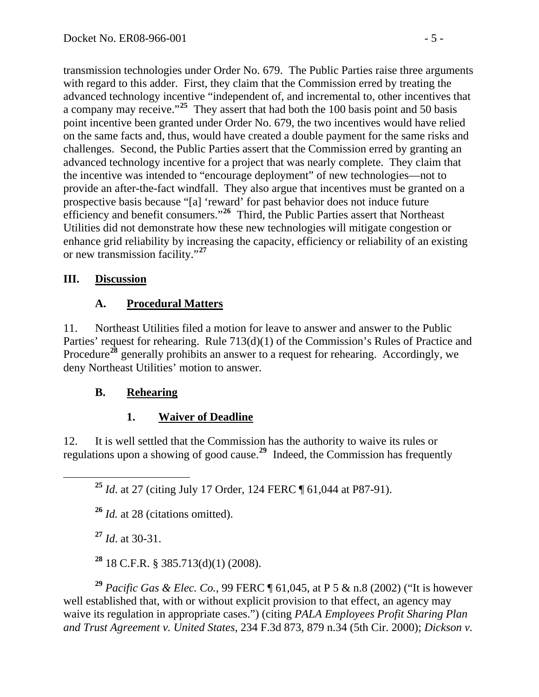transmission technologies under Order No. 679. The Public Parties raise three arguments with regard to this adder. First, they claim that the Commission erred by treating the advanced technology incentive "independent of, and incremental to, other incentives that a company may receive."**<sup>25</sup>** They assert that had both the 100 basis point and 50 basis point incentive been granted under Order No. 679, the two incentives would have relied on the same facts and, thus, would have created a double payment for the same risks and challenges. Second, the Public Parties assert that the Commission erred by granting an advanced technology incentive for a project that was nearly complete. They claim that the incentive was intended to "encourage deployment" of new technologies—not to provide an after-the-fact windfall. They also argue that incentives must be granted on a prospective basis because "[a] 'reward' for past behavior does not induce future efficiency and benefit consumers."**<sup>26</sup>** Third, the Public Parties assert that Northeast Utilities did not demonstrate how these new technologies will mitigate congestion or enhance grid reliability by increasing the capacity, efficiency or reliability of an existing or new transmission facility."**<sup>27</sup>**

## **III. Discussion**

## **A. Procedural Matters**

11. Northeast Utilities filed a motion for leave to answer and answer to the Public Parties' request for rehearing. Rule 713(d)(1) of the Commission's Rules of Practice and Procedure<sup>[28](#page-4-0)</sup> generally prohibits an answer to a request for rehearing. Accordingly, we deny Northeast Utilities' motion to answer.

## **B. Rehearing**

# **1. Waiver of Deadline**

12. It is well settled that the Commission has the authority to waive its rules or regulations upon a showing of good cause.**[29](#page-4-1)** Indeed, the Commission has frequently

**<sup>25</sup>** *Id*. at 27 (citing July 17 Order, 124 FERC ¶ 61,044 at P87-91).

**<sup>26</sup>** *Id.* at 28 (citations omitted).

**<sup>27</sup>** *Id*. at 30-31.

**<sup>28</sup>** 18 C.F.R. § 385.713(d)(1) (2008).

<span id="page-4-1"></span><span id="page-4-0"></span>**<sup>29</sup>** *Pacific Gas & Elec. Co.*, 99 FERC ¶ 61,045, at P 5 & n.8 (2002) ("It is however well established that, with or without explicit provision to that effect, an agency may waive its regulation in appropriate cases.") (citing *PALA Employees Profit Sharing Plan and Trust Agreement v. United States*, 234 F.3d 873, 879 n.34 (5th Cir. 2000); *Dickson v.*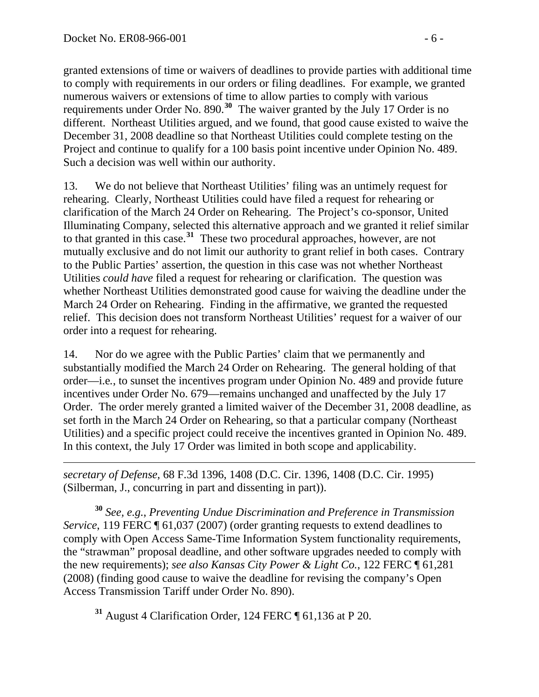granted extensions of time or waivers of deadlines to provide parties with additional time to comply with requirements in our orders or filing deadlines. For example, we granted numerous waivers or extensions of time to allow parties to comply with various requirements under Order No. 890.**<sup>30</sup>** The waiver granted by the July 17 Order is no different. Northeast Utilities argued, and we found, that good cause existed to waive the December 31, 2008 deadline so that Northeast Utilities could complete testing on the Project and continue to qualify for a 100 basis point incentive under Opinion No. 489. Such a decision was well within our authority.

13. We do not believe that Northeast Utilities' filing was an untimely request for rehearing. Clearly, Northeast Utilities could have filed a request for rehearing or clarification of the March 24 Order on Rehearing. The Project's co-sponsor, United Illuminating Company, selected this alternative approach and we granted it relief similar to that granted in this case.**[31](#page-5-0)** These two procedural approaches, however, are not mutually exclusive and do not limit our authority to grant relief in both cases. Contrary to the Public Parties' assertion, the question in this case was not whether Northeast Utilities *could have* filed a request for rehearing or clarification. The question was whether Northeast Utilities demonstrated good cause for waiving the deadline under the March 24 Order on Rehearing. Finding in the affirmative, we granted the requested relief. This decision does not transform Northeast Utilities' request for a waiver of our order into a request for rehearing.

14. Nor do we agree with the Public Parties' claim that we permanently and substantially modified the March 24 Order on Rehearing. The general holding of that order—i.e*.*, to sunset the incentives program under Opinion No. 489 and provide future incentives under Order No. 679—remains unchanged and unaffected by the July 17 Order. The order merely granted a limited waiver of the December 31, 2008 deadline, as set forth in the March 24 Order on Rehearing, so that a particular company (Northeast Utilities) and a specific project could receive the incentives granted in Opinion No. 489. In this context, the July 17 Order was limited in both scope and applicability.

 *secretary of Defense*, 68 F.3d 1396, 1408 (D.C. Cir. 1396, 1408 (D.C. Cir. 1995) (Silberman, J., concurring in part and dissenting in part)).

**<sup>30</sup>** *See, e.g.*, *Preventing Undue Discrimination and Preference in Transmission Service*, 119 FERC  $\sqrt{ }$  61,037 (2007) (order granting requests to extend deadlines to comply with Open Access Same-Time Information System functionality requirements, the "strawman" proposal deadline, and other software upgrades needed to comply with the new requirements); *see also Kansas City Power & Light Co.*, 122 FERC ¶ 61,281 (2008) (finding good cause to waive the deadline for revising the company's Open Access Transmission Tariff under Order No. 890).

<span id="page-5-0"></span>**<sup>31</sup>** August 4 Clarification Order, 124 FERC ¶ 61,136 at P 20.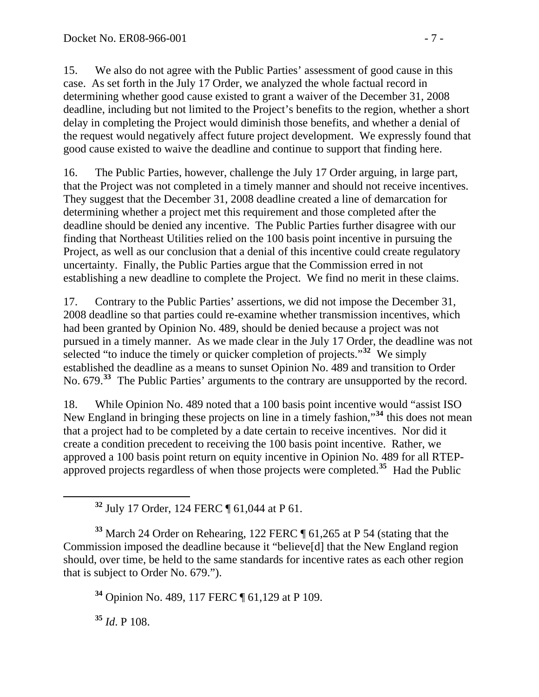15. We also do not agree with the Public Parties' assessment of good cause in this case. As set forth in the July 17 Order, we analyzed the whole factual record in determining whether good cause existed to grant a waiver of the December 31, 2008 deadline, including but not limited to the Project's benefits to the region, whether a short delay in completing the Project would diminish those benefits, and whether a denial of the request would negatively affect future project development. We expressly found that good cause existed to waive the deadline and continue to support that finding here.

16. The Public Parties, however, challenge the July 17 Order arguing, in large part, that the Project was not completed in a timely manner and should not receive incentives. They suggest that the December 31, 2008 deadline created a line of demarcation for determining whether a project met this requirement and those completed after the deadline should be denied any incentive. The Public Parties further disagree with our finding that Northeast Utilities relied on the 100 basis point incentive in pursuing the Project, as well as our conclusion that a denial of this incentive could create regulatory uncertainty. Finally, the Public Parties argue that the Commission erred in not establishing a new deadline to complete the Project. We find no merit in these claims.

17. Contrary to the Public Parties' assertions, we did not impose the December 31, 2008 deadline so that parties could re-examine whether transmission incentives, which had been granted by Opinion No. 489, should be denied because a project was not pursued in a timely manner. As we made clear in the July 17 Order, the deadline was not selected "to induce the timely or quicker completion of projects."**[32](#page-6-0)** We simply established the deadline as a means to sunset Opinion No. 489 and transition to Order No. 679.**[33](#page-6-1)** The Public Parties' arguments to the contrary are unsupported by the record.

18. While Opinion No. 489 noted that a 100 basis point incentive would "assist ISO New England in bringing these projects on line in a timely fashion,"**[34](#page-6-2)** this does not mean that a project had to be completed by a date certain to receive incentives. Nor did it create a condition precedent to receiving the 100 basis point incentive. Rather, we approved a 100 basis point return on equity incentive in Opinion No. 489 for all RTEPapproved projects regardless of when those projects were completed.**[35](#page-6-3)** Had the Public

**<sup>32</sup>** July 17 Order, 124 FERC ¶ 61,044 at P 61.

<span id="page-6-2"></span><span id="page-6-1"></span><span id="page-6-0"></span>**<sup>33</sup>** March 24 Order on Rehearing, 122 FERC ¶ 61,265 at P 54 (stating that the Commission imposed the deadline because it "believe[d] that the New England region should, over time, be held to the same standards for incentive rates as each other region that is subject to Order No. 679.").

**<sup>34</sup>** Opinion No. 489, 117 FERC ¶ 61,129 at P 109.

<span id="page-6-3"></span>**<sup>35</sup>** *Id*. P 108.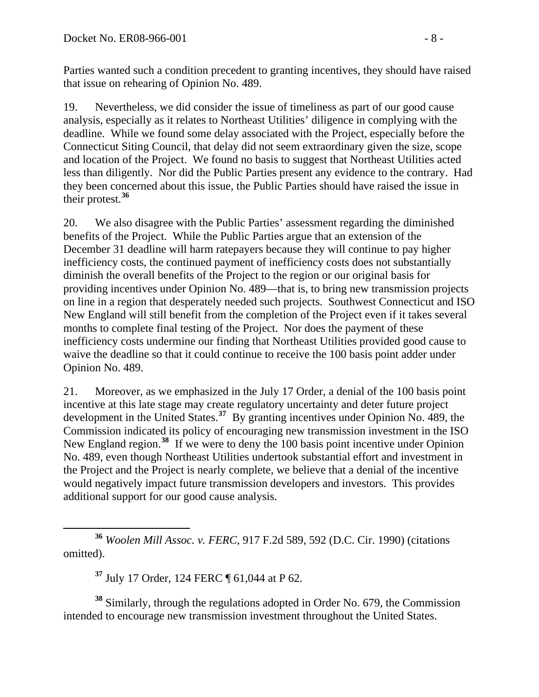Parties wanted such a condition precedent to granting incentives, they should have raised that issue on rehearing of Opinion No. 489.

19. Nevertheless, we did consider the issue of timeliness as part of our good cause analysis, especially as it relates to Northeast Utilities' diligence in complying with the deadline. While we found some delay associated with the Project, especially before the Connecticut Siting Council, that delay did not seem extraordinary given the size, scope and location of the Project. We found no basis to suggest that Northeast Utilities acted less than diligently. Nor did the Public Parties present any evidence to the contrary. Had they been concerned about this issue, the Public Parties should have raised the issue in their protest.**[36](#page-7-0)**

20. We also disagree with the Public Parties' assessment regarding the diminished benefits of the Project. While the Public Parties argue that an extension of the December 31 deadline will harm ratepayers because they will continue to pay higher inefficiency costs, the continued payment of inefficiency costs does not substantially diminish the overall benefits of the Project to the region or our original basis for providing incentives under Opinion No. 489—that is, to bring new transmission projects on line in a region that desperately needed such projects. Southwest Connecticut and ISO New England will still benefit from the completion of the Project even if it takes several months to complete final testing of the Project. Nor does the payment of these inefficiency costs undermine our finding that Northeast Utilities provided good cause to waive the deadline so that it could continue to receive the 100 basis point adder under Opinion No. 489.

21. Moreover, as we emphasized in the July 17 Order, a denial of the 100 basis point incentive at this late stage may create regulatory uncertainty and deter future project development in the United States.**[37](#page-7-1)** By granting incentives under Opinion No. 489, the Commission indicated its policy of encouraging new transmission investment in the ISO New England region.**[38](#page-7-2)** If we were to deny the 100 basis point incentive under Opinion No. 489, even though Northeast Utilities undertook substantial effort and investment in the Project and the Project is nearly complete, we believe that a denial of the incentive would negatively impact future transmission developers and investors. This provides additional support for our good cause analysis.

<span id="page-7-0"></span> **<sup>36</sup>** *Woolen Mill Assoc. v. FERC*, 917 F.2d 589, 592 (D.C. Cir. 1990) (citations omitted).

**<sup>37</sup>** July 17 Order, 124 FERC ¶ 61,044 at P 62.

<span id="page-7-2"></span><span id="page-7-1"></span>**<sup>38</sup>** Similarly, through the regulations adopted in Order No. 679, the Commission intended to encourage new transmission investment throughout the United States.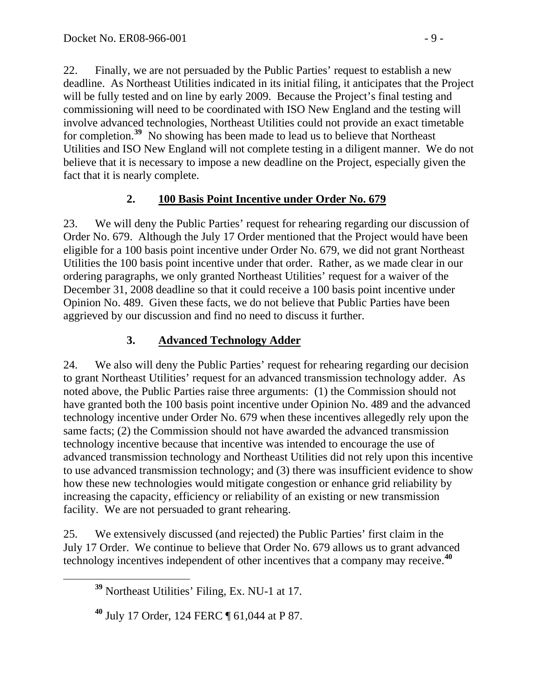22. Finally, we are not persuaded by the Public Parties' request to establish a new deadline. As Northeast Utilities indicated in its initial filing, it anticipates that the Project will be fully tested and on line by early 2009. Because the Project's final testing and commissioning will need to be coordinated with ISO New England and the testing will involve advanced technologies, Northeast Utilities could not provide an exact timetable for completion.**[39](#page-8-0)** No showing has been made to lead us to believe that Northeast Utilities and ISO New England will not complete testing in a diligent manner. We do not believe that it is necessary to impose a new deadline on the Project, especially given the fact that it is nearly complete.

# **2. 100 Basis Point Incentive under Order No. 679**

23. We will deny the Public Parties' request for rehearing regarding our discussion of Order No. 679. Although the July 17 Order mentioned that the Project would have been eligible for a 100 basis point incentive under Order No. 679, we did not grant Northeast Utilities the 100 basis point incentive under that order. Rather, as we made clear in our ordering paragraphs, we only granted Northeast Utilities' request for a waiver of the December 31, 2008 deadline so that it could receive a 100 basis point incentive under Opinion No. 489. Given these facts, we do not believe that Public Parties have been aggrieved by our discussion and find no need to discuss it further.

# **3. Advanced Technology Adder**

24. We also will deny the Public Parties' request for rehearing regarding our decision to grant Northeast Utilities' request for an advanced transmission technology adder. As noted above, the Public Parties raise three arguments: (1) the Commission should not have granted both the 100 basis point incentive under Opinion No. 489 and the advanced technology incentive under Order No. 679 when these incentives allegedly rely upon the same facts; (2) the Commission should not have awarded the advanced transmission technology incentive because that incentive was intended to encourage the use of advanced transmission technology and Northeast Utilities did not rely upon this incentive to use advanced transmission technology; and (3) there was insufficient evidence to show how these new technologies would mitigate congestion or enhance grid reliability by increasing the capacity, efficiency or reliability of an existing or new transmission facility. We are not persuaded to grant rehearing.

<span id="page-8-0"></span>25. We extensively discussed (and rejected) the Public Parties' first claim in the July 17 Order. We continue to believe that Order No. 679 allows us to grant advanced technology incentives independent of other incentives that a company may receive.**[40](#page-8-1)**

**<sup>39</sup>** Northeast Utilities' Filing, Ex. NU-1 at 17.

<span id="page-8-1"></span>**<sup>40</sup>** July 17 Order, 124 FERC ¶ 61,044 at P 87.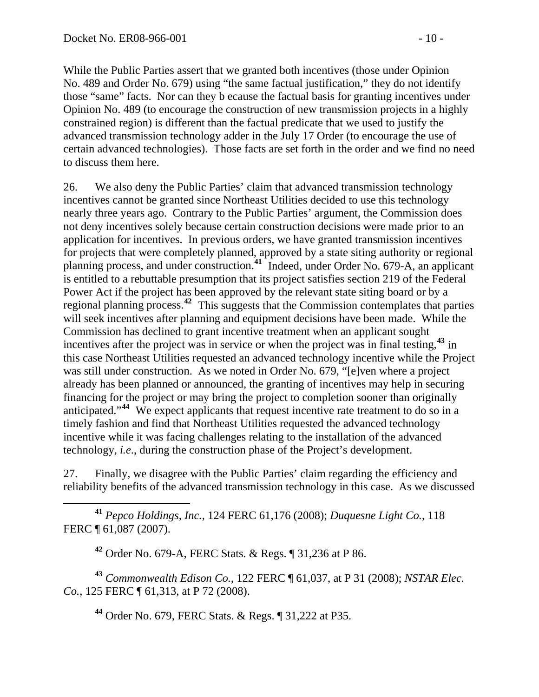While the Public Parties assert that we granted both incentives (those under Opinion No. 489 and Order No. 679) using "the same factual justification," they do not identify those "same" facts. Nor can they b ecause the factual basis for granting incentives under Opinion No. 489 (to encourage the construction of new transmission projects in a highly constrained region) is different than the factual predicate that we used to justify the advanced transmission technology adder in the July 17 Order (to encourage the use of certain advanced technologies). Those facts are set forth in the order and we find no need to discuss them here.

26. We also deny the Public Parties' claim that advanced transmission technology incentives cannot be granted since Northeast Utilities decided to use this technology nearly three years ago. Contrary to the Public Parties' argument, the Commission does not deny incentives solely because certain construction decisions were made prior to an application for incentives. In previous orders, we have granted transmission incentives for projects that were completely planned, approved by a state siting authority or regional planning process, and under construction.**[41](#page-9-0)** Indeed, under Order No. 679-A, an applicant is entitled to a rebuttable presumption that its project satisfies section 219 of the Federal Power Act if the project has been approved by the relevant state siting board or by a regional planning process.**[42](#page-9-1)** This suggests that the Commission contemplates that parties will seek incentives after planning and equipment decisions have been made. While the Commission has declined to grant incentive treatment when an applicant sought incentives after the project was in service or when the project was in final testing,**[43](#page-9-2)** in this case Northeast Utilities requested an advanced technology incentive while the Project was still under construction. As we noted in Order No. 679, "[e]ven where a project already has been planned or announced, the granting of incentives may help in securing financing for the project or may bring the project to completion sooner than originally anticipated."**[44](#page-9-3)** We expect applicants that request incentive rate treatment to do so in a timely fashion and find that Northeast Utilities requested the advanced technology incentive while it was facing challenges relating to the installation of the advanced technology, *i.e*., during the construction phase of the Project's development.

27. Finally, we disagree with the Public Parties' claim regarding the efficiency and reliability benefits of the advanced transmission technology in this case. As we discussed

<span id="page-9-0"></span> **<sup>41</sup>** *Pepco Holdings, Inc.*, 124 FERC 61,176 (2008); *Duquesne Light Co.*, 118 FERC ¶ 61,087 (2007).

**<sup>42</sup>** Order No. 679-A, FERC Stats. & Regs. ¶ 31,236 at P 86.

<span id="page-9-3"></span><span id="page-9-2"></span><span id="page-9-1"></span>**<sup>43</sup>** *Commonwealth Edison Co.*, 122 FERC ¶ 61,037, at P 31 (2008); *NSTAR Elec. Co.*, 125 FERC ¶ 61,313, at P 72 (2008).

**<sup>44</sup>** Order No. 679, FERC Stats. & Regs. ¶ 31,222 at P35.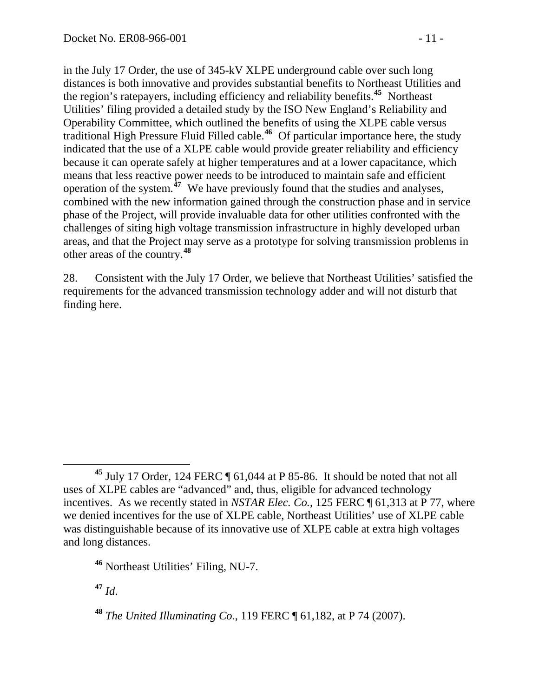in the July 17 Order, the use of 345-kV XLPE underground cable over such long distances is both innovative and provides substantial benefits to Northeast Utilities and the region's ratepayers, including efficiency and reliability benefits.**<sup>45</sup>** Northeast Utilities' filing provided a detailed study by the ISO New England's Reliability and Operability Committee, which outlined the benefits of using the XLPE cable versus traditional High Pressure Fluid Filled cable.**<sup>46</sup>** Of particular importance here, the study indicated that the use of a XLPE cable would provide greater reliability and efficiency because it can operate safely at higher temperatures and at a lower capacitance, which means that less reactive power needs to be introduced to maintain safe and efficient operation of the system. **<sup>47</sup>** We have previously found that the studies and analyses, combined with the new information gained through the construction phase and in service other areas of the country.<sup>48</sup> phase of the Project, will provide invaluable data for other utilities confronted with the challenges of siting high voltage transmission infrastructure in highly developed urban areas, and that the Project may serve as a prototype for solving transmission problems in

28. Consistent with the July 17 Order, we believe that Northeast Utilities' satisfied the requirements for the advanced transmission technology adder and will not disturb that finding here.

**<sup>47</sup>** *Id*.

 $\overline{a}$ **<sup>45</sup>** July 17 Order, 124 FERC ¶ 61,044 at P 85-86. It should be noted that not all uses of XLPE cables are "advanced" and, thus, eligible for advanced technology incentives. As we recently stated in *NSTAR Elec. Co.*, 125 FERC ¶ 61,313 at P 77, where we denied incentives for the use of XLPE cable, Northeast Utilities' use of XLPE cable was distinguishable because of its innovative use of XLPE cable at extra high voltages and long distances.

**<sup>46</sup>** Northeast Utilities' Filing, NU-7.

**<sup>48</sup>** *The United Illuminating Co.*, 119 FERC ¶ 61,182, at P 74 (2007).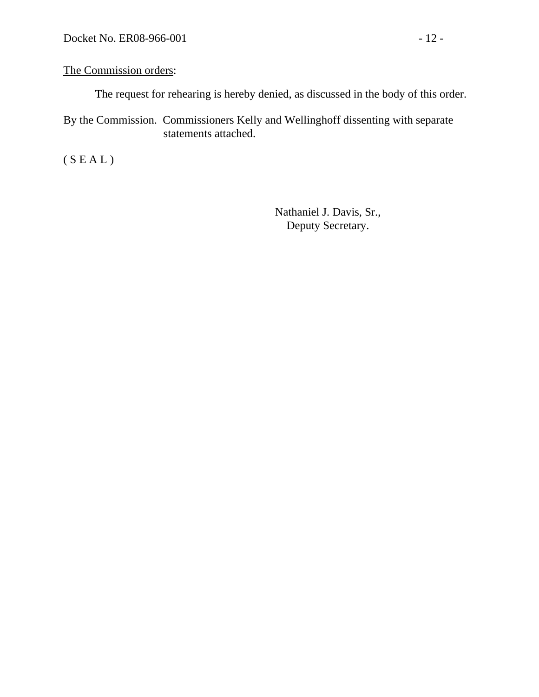### The Commission orders:

The request for rehearing is hereby denied, as discussed in the body of this order.

By the Commission. Commissioners Kelly and Wellinghoff dissenting with separate statements attached.

 $(S E A L)$ 

Nathaniel J. Davis, Sr., Deputy Secretary.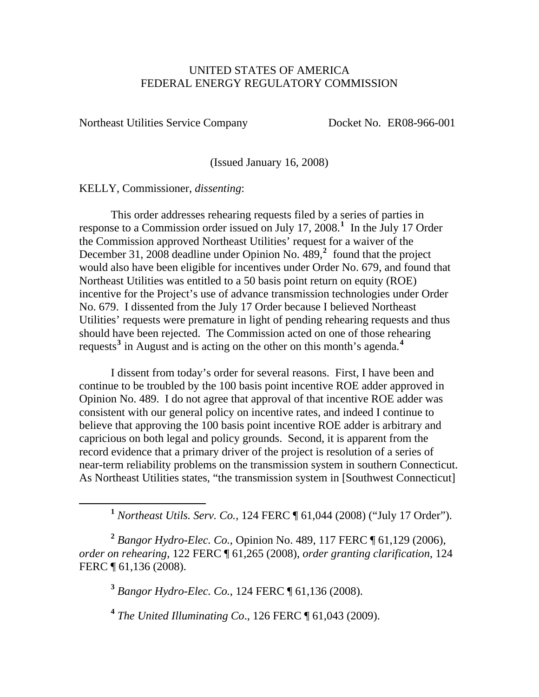#### UNITED STATES OF AMERICA FEDERAL ENERGY REGULATORY COMMISSION

Northeast Utilities Service Company Docket No. ER08-966-001

(Issued January 16, 2008)

KELLY, Commissioner, *dissenting*:

<span id="page-12-0"></span> $\overline{a}$ 

 This order addresses rehearing requests filed by a series of parties in response to a Commission order issued on July [1](#page-12-0)7, 2008.<sup>1</sup> In the July 17 Order the Commission approved Northeast Utilities' request for a waiver of the December 31, [2](#page-12-1)008 deadline under Opinion No. 489,<sup>2</sup> found that the project would also have been eligible for incentives under Order No. 679, and found that Northeast Utilities was entitled to a 50 basis point return on equity (ROE) incentive for the Project's use of advance transmission technologies under O rder No. 679. I dissented from the July 17 Order because I believed Northeast Utilities' requests were premature in light of pending rehearing requests and thus should have been rejected. The Commission acted on one of those rehearing requests<sup>[3](#page-12-2)</sup> in August and is acting on the other on this month's agenda.<sup>4</sup>

 I dissent from today's order for several reasons. First, I have been and continue to be troubled by the 100 basis point incentive ROE adder approved in Opinion No. 489. I do not agree that approval of that incentive ROE adder was consistent with our general policy on incentive rates, and indeed I continue to believe that approving the 100 basis point incentive ROE adder is arbitrary and capricious on both legal and policy grounds. Second, it is apparent from the record evidence that a primary driver of the project is resolution of a series of near-term reliability problems on the transmission system in southern Connecticut. As Northeast Utilities states, "the transmission system in [Southwest Connecticut]

<span id="page-12-2"></span><span id="page-12-1"></span>**<sup>2</sup>** *Bangor Hydro-Elec. Co.*, Opinion No. 489, 117 FERC ¶ 61,129 (2006), *order on rehearing*, 122 FERC ¶ 61,265 (2008), *order granting clarification*, 124 FERC ¶ 61,136 (2008).

**<sup>3</sup>** *Bangor Hydro-Elec. Co.*, 124 FERC ¶ 61,136 (2008).

**<sup>4</sup>** *The United Illuminating Co*., 126 FERC ¶ 61,043 (2009).

**<sup>1</sup>** *Northeast Utils. Serv. Co.*, 124 FERC ¶ 61,044 (2008) ("July 17 Order").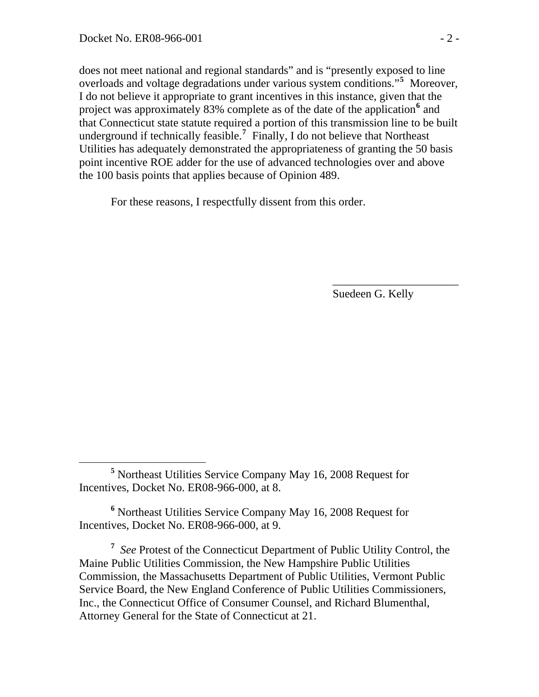that Connecticut state statute required a portion of this transmission line to be built does not meet national and regional standards" and is "presently exposed to line overloads and voltage degradations under various system conditions."**[5](#page-13-0)** Moreover, I do not believe it appropriate to grant incentives in this instance, given that the project was approximately 83% complete as of the date of the application<sup>[6](#page-13-1)</sup> and underground if technically feasible.**[7](#page-13-2)** Finally, I do not believe that Northeast Utilities has adequately demonstrated the appropriateness of granting the 50 basis point incentive ROE adder for the use of advanced technologies over and above the 100 basis points that applies because of Opinion 489.

 $\frac{1}{2}$  , and the contract of the contract of the contract of the contract of the contract of the contract of the contract of the contract of the contract of the contract of the contract of the contract of the contract

For these reasons, I respectfully dissent from this order.

Suedeen G. Kelly

<span id="page-13-0"></span>**<sup>5</sup>** Northeast Utilities Service Company May 16, 2008 Request for Incentives, Docket No. ER08-966-000, at 8.

<span id="page-13-1"></span>**<sup>6</sup>** Northeast Utilities Service Company May 16, 2008 Request for Incentives, Docket No. ER08-966-000, at 9.

<span id="page-13-2"></span>**<sup>7</sup>** *See* Protest of the Connecticut Department of Public Utility Control, the Maine Public Utilities Commission, the New Hampshire Public Utilities Commission, the Massachusetts Department of Public Utilities, Vermont Public Service Board, the New England Conference of Public Utilities Commissioners, Inc., the Connecticut Office of Consumer Counsel, and Richard Blumenthal, Attorney General for the State of Connecticut at 21.